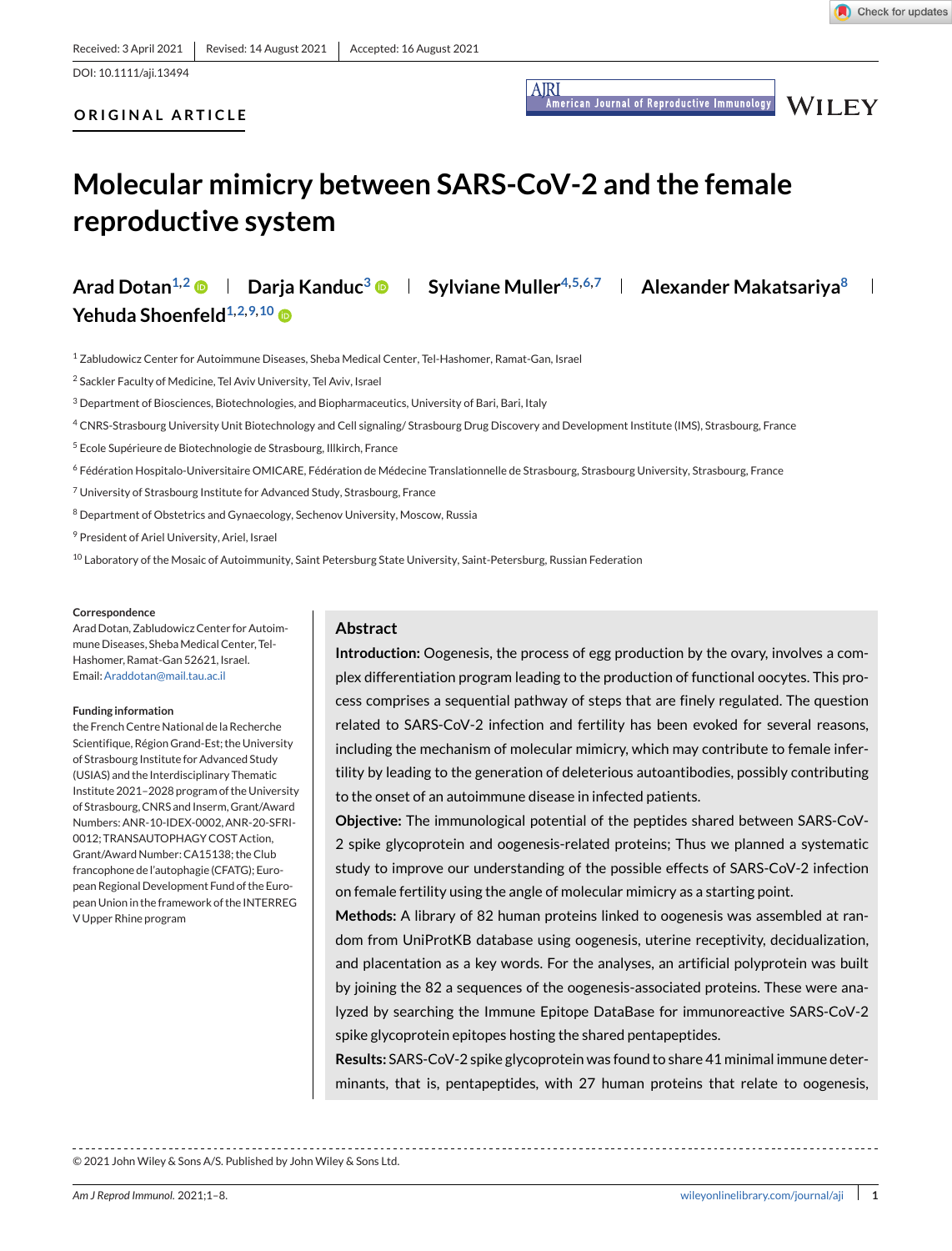**AIRI** .<br>American Journal of Reproductive Immunology **WILEY** 

# **ORIGINAL ARTICLE**

# **Molecular mimicry between SARS-CoV-2 and the female reproductive system**

Arad Dotan<sup>1,2</sup> **Darja Kanduc<sup>3</sup> D | Sylviane Muller<sup>4,5,6,7</sup> | Alexander Makatsariya<sup>8</sup> Yehuda Shoenfeld**<sup>1,2,9,10</sup>

<sup>1</sup> Zabludowicz Center for Autoimmune Diseases, Sheba Medical Center, Tel-Hashomer, Ramat-Gan, Israel

<sup>2</sup> Sackler Faculty of Medicine, Tel Aviv University, Tel Aviv, Israel

<sup>3</sup> Department of Biosciences, Biotechnologies, and Biopharmaceutics, University of Bari, Bari, Italy

- 4 CNRS-Strasbourg University Unit Biotechnology and Cell signaling/ Strasbourg Drug Discovery and Development Institute (IMS), Strasbourg, France
- <sup>5</sup> Ecole Supérieure de Biotechnologie de Strasbourg, Illkirch, France
- <sup>6</sup> Fédération Hospitalo-Universitaire OMICARE, Fédération de Médecine Translationnelle de Strasbourg, Strasbourg University, Strasbourg, France
- <sup>7</sup> University of Strasbourg Institute for Advanced Study, Strasbourg, France
- <sup>8</sup> Department of Obstetrics and Gynaecology, Sechenov University, Moscow, Russia
- <sup>9</sup> President of Ariel University, Ariel, Israel

<sup>10</sup> Laboratory of the Mosaic of Autoimmunity, Saint Petersburg State University, Saint-Petersburg, Russian Federation

#### **Correspondence**

Arad Dotan, Zabludowicz Center for Autoimmune Diseases, Sheba Medical Center, Tel-Hashomer, Ramat-Gan 52621, Israel. Email[:Araddotan@mail.tau.ac.il](mailto:Araddotan@mail.tau.ac.il)

#### **Funding information**

the French Centre National de la Recherche Scientifique, Région Grand-Est; the University of Strasbourg Institute for Advanced Study (USIAS) and the Interdisciplinary Thematic Institute 2021–2028 program of the University of Strasbourg, CNRS and Inserm, Grant/Award Numbers: ANR-10-IDEX-0002, ANR-20-SFRI-0012; TRANSAUTOPHAGY COST Action, Grant/Award Number: CA15138; the Club francophone de l'autophagie (CFATG); European Regional Development Fund of the European Union in the framework of the INTERREG V Upper Rhine program

### **Abstract**

**Introduction:** Oogenesis, the process of egg production by the ovary, involves a complex differentiation program leading to the production of functional oocytes. This process comprises a sequential pathway of steps that are finely regulated. The question related to SARS-CoV-2 infection and fertility has been evoked for several reasons, including the mechanism of molecular mimicry, which may contribute to female infertility by leading to the generation of deleterious autoantibodies, possibly contributing to the onset of an autoimmune disease in infected patients.

**Objective:** The immunological potential of the peptides shared between SARS-CoV-2 spike glycoprotein and oogenesis-related proteins; Thus we planned a systematic study to improve our understanding of the possible effects of SARS-CoV-2 infection on female fertility using the angle of molecular mimicry as a starting point.

**Methods:** A library of 82 human proteins linked to oogenesis was assembled at random from UniProtKB database using oogenesis, uterine receptivity, decidualization, and placentation as a key words. For the analyses, an artificial polyprotein was built by joining the 82 a sequences of the oogenesis-associated proteins. These were analyzed by searching the Immune Epitope DataBase for immunoreactive SARS-CoV-2 spike glycoprotein epitopes hosting the shared pentapeptides.

**Results:** SARS-CoV-2 spike glycoprotein was found to share 41 minimal immune determinants, that is, pentapeptides, with 27 human proteins that relate to oogenesis,

© 2021 John Wiley & Sons A/S. Published by John Wiley & Sons Ltd.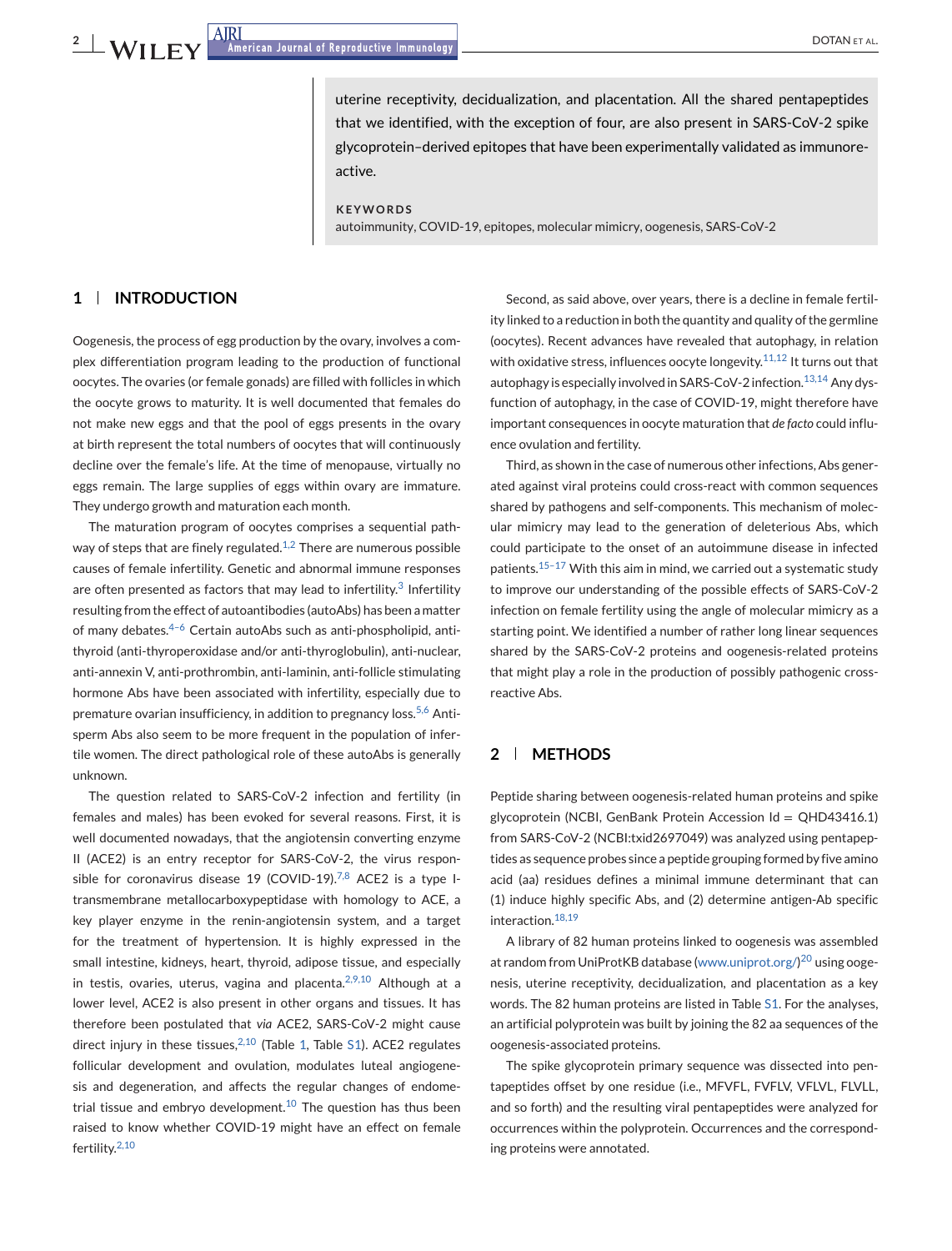uterine receptivity, decidualization, and placentation. All the shared pentapeptides that we identified, with the exception of four, are also present in SARS-CoV-2 spike glycoprotein–derived epitopes that have been experimentally validated as immunoreactive.

### **KEYWORDS**

autoimmunity, COVID-19, epitopes, molecular mimicry, oogenesis, SARS-CoV-2

# **1 INTRODUCTION**

Oogenesis, the process of egg production by the ovary, involves a complex differentiation program leading to the production of functional oocytes. The ovaries (or female gonads) are filled with follicles in which the oocyte grows to maturity. It is well documented that females do not make new eggs and that the pool of eggs presents in the ovary at birth represent the total numbers of oocytes that will continuously decline over the female's life. At the time of menopause, virtually no eggs remain. The large supplies of eggs within ovary are immature. They undergo growth and maturation each month.

The maturation program of oocytes comprises a sequential path-way of steps that are finely regulated.<sup>[1,2](#page-5-0)</sup> There are numerous possible causes of female infertility. Genetic and abnormal immune responses are often presented as factors that may lead to infertility.<sup>[3](#page-5-0)</sup> Infertility resulting from the effect of autoantibodies (autoAbs) has been a matter of many debates. $4-6$  Certain autoAbs such as anti-phospholipid, antithyroid (anti-thyroperoxidase and/or anti-thyroglobulin), anti-nuclear, anti-annexin V, anti-prothrombin, anti-laminin, anti-follicle stimulating hormone Abs have been associated with infertility, especially due to premature ovarian insufficiency, in addition to pregnancy loss.<sup>[5,6](#page-5-0)</sup> Antisperm Abs also seem to be more frequent in the population of infertile women. The direct pathological role of these autoAbs is generally unknown.

The question related to SARS-CoV-2 infection and fertility (in females and males) has been evoked for several reasons. First, it is well documented nowadays, that the angiotensin converting enzyme II (ACE2) is an entry receptor for SARS-CoV-2, the virus respon-sible for coronavirus disease 19 (COVID-19).<sup>[7,8](#page-5-0)</sup> ACE2 is a type Itransmembrane metallocarboxypeptidase with homology to ACE, a key player enzyme in the renin-angiotensin system, and a target for the treatment of hypertension. It is highly expressed in the small intestine, kidneys, heart, thyroid, adipose tissue, and especially in testis, ovaries, uterus, vagina and placenta. $2,9,10$  Although at a lower level, ACE2 is also present in other organs and tissues. It has therefore been postulated that *via* ACE2, SARS-CoV-2 might cause direct injury in these tissues, $2,10$  (Table [1,](#page-2-0) Table S1). ACE2 regulates follicular development and ovulation, modulates luteal angiogenesis and degeneration, and affects the regular changes of endometrial tissue and embryo development. $10$  The question has thus been raised to know whether COVID-19 might have an effect on female fertility.[2,10](#page-5-0)

Second, as said above, over years, there is a decline in female fertility linked to a reduction in both the quantity and quality of the germline (oocytes). Recent advances have revealed that autophagy, in relation with oxidative stress, influences oocyte longevity. $11,12$  It turns out that autophagy is especially involved in SARS-CoV-2 infection.<sup>13,14</sup> Any dysfunction of autophagy, in the case of COVID-19, might therefore have important consequences in oocyte maturation that *de facto* could influence ovulation and fertility.

Third, as shown in the case of numerous other infections, Abs generated against viral proteins could cross-react with common sequences shared by pathogens and self-components. This mechanism of molecular mimicry may lead to the generation of deleterious Abs, which could participate to the onset of an autoimmune disease in infected patients.<sup>[15–17](#page-5-0)</sup> With this aim in mind, we carried out a systematic study to improve our understanding of the possible effects of SARS-CoV-2 infection on female fertility using the angle of molecular mimicry as a starting point. We identified a number of rather long linear sequences shared by the SARS-CoV-2 proteins and oogenesis-related proteins that might play a role in the production of possibly pathogenic crossreactive Abs.

# **2 METHODS**

Peptide sharing between oogenesis-related human proteins and spike glycoprotein (NCBI, GenBank Protein Accession Id = QHD43416.1) from SARS-CoV-2 (NCBI:txid2697049) was analyzed using pentapeptides as sequence probes since a peptide grouping formed by five amino acid (aa) residues defines a minimal immune determinant that can (1) induce highly specific Abs, and (2) determine antigen-Ab specific interaction.<sup>[18,19](#page-5-0)</sup>

A library of 82 human proteins linked to oogenesis was assembled at random from UniProtKB database [\(www.uniprot.org/\)](http://www.uniprot.org/)<sup>[20](#page-5-0)</sup> using oogenesis, uterine receptivity, decidualization, and placentation as a key words. The 82 human proteins are listed in Table S1. For the analyses, an artificial polyprotein was built by joining the 82 aa sequences of the oogenesis-associated proteins.

The spike glycoprotein primary sequence was dissected into pentapeptides offset by one residue (i.e., MFVFL, FVFLV, VFLVL, FLVLL, and so forth) and the resulting viral pentapeptides were analyzed for occurrences within the polyprotein. Occurrences and the corresponding proteins were annotated.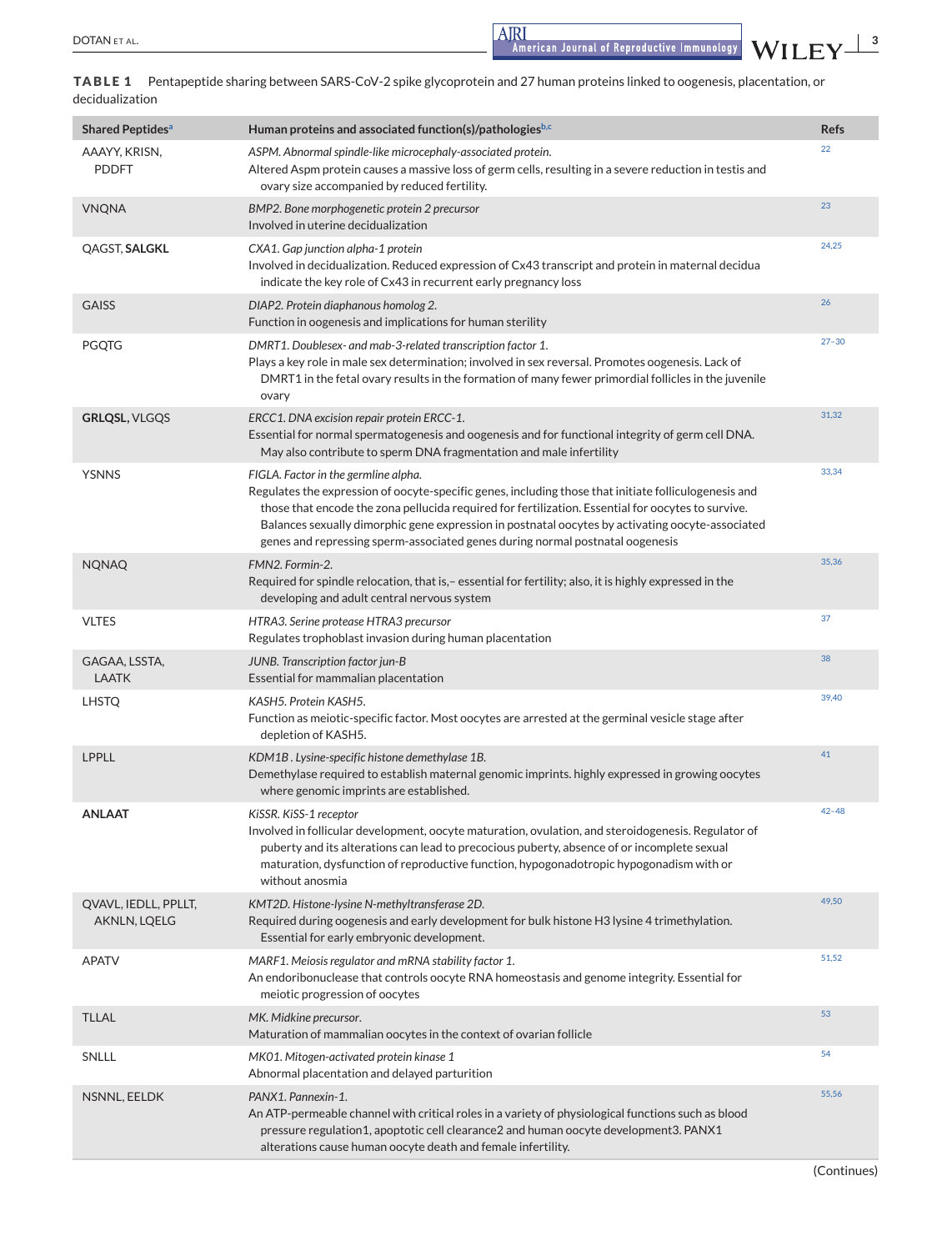<span id="page-2-0"></span>DOTAN ET AL. **3**<br>American Journal of Reproductive Immunology WILEY  $\frac{3}{4}$ 

**TABLE 1** Pentapeptide sharing between SARS-CoV-2 spike glycoprotein and 27 human proteins linked to oogenesis, placentation, or decidualization

| <b>Shared Peptides<sup>a</sup></b>   | Human proteins and associated function(s)/pathologiesb,c                                                                                                                                                                                                                                                                                                                                                                                 | <b>Refs</b> |
|--------------------------------------|------------------------------------------------------------------------------------------------------------------------------------------------------------------------------------------------------------------------------------------------------------------------------------------------------------------------------------------------------------------------------------------------------------------------------------------|-------------|
| AAAYY, KRISN,<br><b>PDDFT</b>        | ASPM. Abnormal spindle-like microcephaly-associated protein.<br>Altered Aspm protein causes a massive loss of germ cells, resulting in a severe reduction in testis and<br>ovary size accompanied by reduced fertility.                                                                                                                                                                                                                  | 22          |
| <b>VNQNA</b>                         | BMP2. Bone morphogenetic protein 2 precursor<br>Involved in uterine decidualization                                                                                                                                                                                                                                                                                                                                                      | 23          |
| QAGST, SALGKL                        | CXA1. Gap junction alpha-1 protein<br>Involved in decidualization. Reduced expression of Cx43 transcript and protein in maternal decidua<br>indicate the key role of Cx43 in recurrent early pregnancy loss                                                                                                                                                                                                                              | 24,25       |
| <b>GAISS</b>                         | DIAP2. Protein diaphanous homolog 2.<br>Function in oogenesis and implications for human sterility                                                                                                                                                                                                                                                                                                                                       | 26          |
| <b>PGQTG</b>                         | DMRT1. Doublesex- and mab-3-related transcription factor 1.<br>Plays a key role in male sex determination; involved in sex reversal. Promotes oogenesis. Lack of<br>DMRT1 in the fetal ovary results in the formation of many fewer primordial follicles in the juvenile<br>ovary                                                                                                                                                        | $27 - 30$   |
| <b>GRLQSL, VLGQS</b>                 | ERCC1. DNA excision repair protein ERCC-1.<br>Essential for normal spermatogenesis and oogenesis and for functional integrity of germ cell DNA.<br>May also contribute to sperm DNA fragmentation and male infertility                                                                                                                                                                                                                   | 31,32       |
| <b>YSNNS</b>                         | FIGLA. Factor in the germline alpha.<br>Regulates the expression of oocyte-specific genes, including those that initiate folliculogenesis and<br>those that encode the zona pellucida required for fertilization. Essential for oocytes to survive.<br>Balances sexually dimorphic gene expression in postnatal oocytes by activating oocyte-associated<br>genes and repressing sperm-associated genes during normal postnatal oogenesis | 33,34       |
| <b>NQNAQ</b>                         | FMN2. Formin-2.<br>Required for spindle relocation, that is,- essential for fertility; also, it is highly expressed in the<br>developing and adult central nervous system                                                                                                                                                                                                                                                                | 35,36       |
| <b>VLTES</b>                         | HTRA3. Serine protease HTRA3 precursor<br>Regulates trophoblast invasion during human placentation                                                                                                                                                                                                                                                                                                                                       | 37          |
| GAGAA, LSSTA,<br><b>LAATK</b>        | JUNB. Transcription factor jun-B<br>Essential for mammalian placentation                                                                                                                                                                                                                                                                                                                                                                 | 38          |
| <b>LHSTQ</b>                         | KASH5. Protein KASH5.<br>Function as meiotic-specific factor. Most oocytes are arrested at the germinal vesicle stage after<br>depletion of KASH5.                                                                                                                                                                                                                                                                                       | 39,40       |
| LPPLL                                | KDM1B. Lysine-specific histone demethylase 1B.<br>Demethylase required to establish maternal genomic imprints. highly expressed in growing oocytes<br>where genomic imprints are established.                                                                                                                                                                                                                                            | 41          |
| <b>ANLAAT</b>                        | KISSR. KISS-1 receptor<br>Involved in follicular development, oocyte maturation, ovulation, and steroidogenesis. Regulator of<br>puberty and its alterations can lead to precocious puberty, absence of or incomplete sexual<br>maturation, dysfunction of reproductive function, hypogonadotropic hypogonadism with or<br>without anosmia                                                                                               | $42 - 48$   |
| QVAVL, IEDLL, PPLLT,<br>AKNLN, LQELG | KMT2D. Histone-lysine N-methyltransferase 2D.<br>Required during oogenesis and early development for bulk histone H3 lysine 4 trimethylation.<br>Essential for early embryonic development.                                                                                                                                                                                                                                              | 49,50       |
| <b>APATV</b>                         | MARF1. Meiosis regulator and mRNA stability factor 1.<br>An endoribonuclease that controls oocyte RNA homeostasis and genome integrity. Essential for<br>meiotic progression of oocytes                                                                                                                                                                                                                                                  | 51,52       |
| <b>TLLAL</b>                         | MK. Midkine precursor.<br>Maturation of mammalian oocytes in the context of ovarian follicle                                                                                                                                                                                                                                                                                                                                             | 53          |
| SNLLL                                | MK01. Mitogen-activated protein kinase 1<br>Abnormal placentation and delayed parturition                                                                                                                                                                                                                                                                                                                                                | 54          |
| NSNNL, EELDK                         | PANX1. Pannexin-1.<br>An ATP-permeable channel with critical roles in a variety of physiological functions such as blood<br>pressure regulation1, apoptotic cell clearance2 and human oocyte development3. PANX1<br>alterations cause human oocyte death and female infertility.                                                                                                                                                         | 55,56       |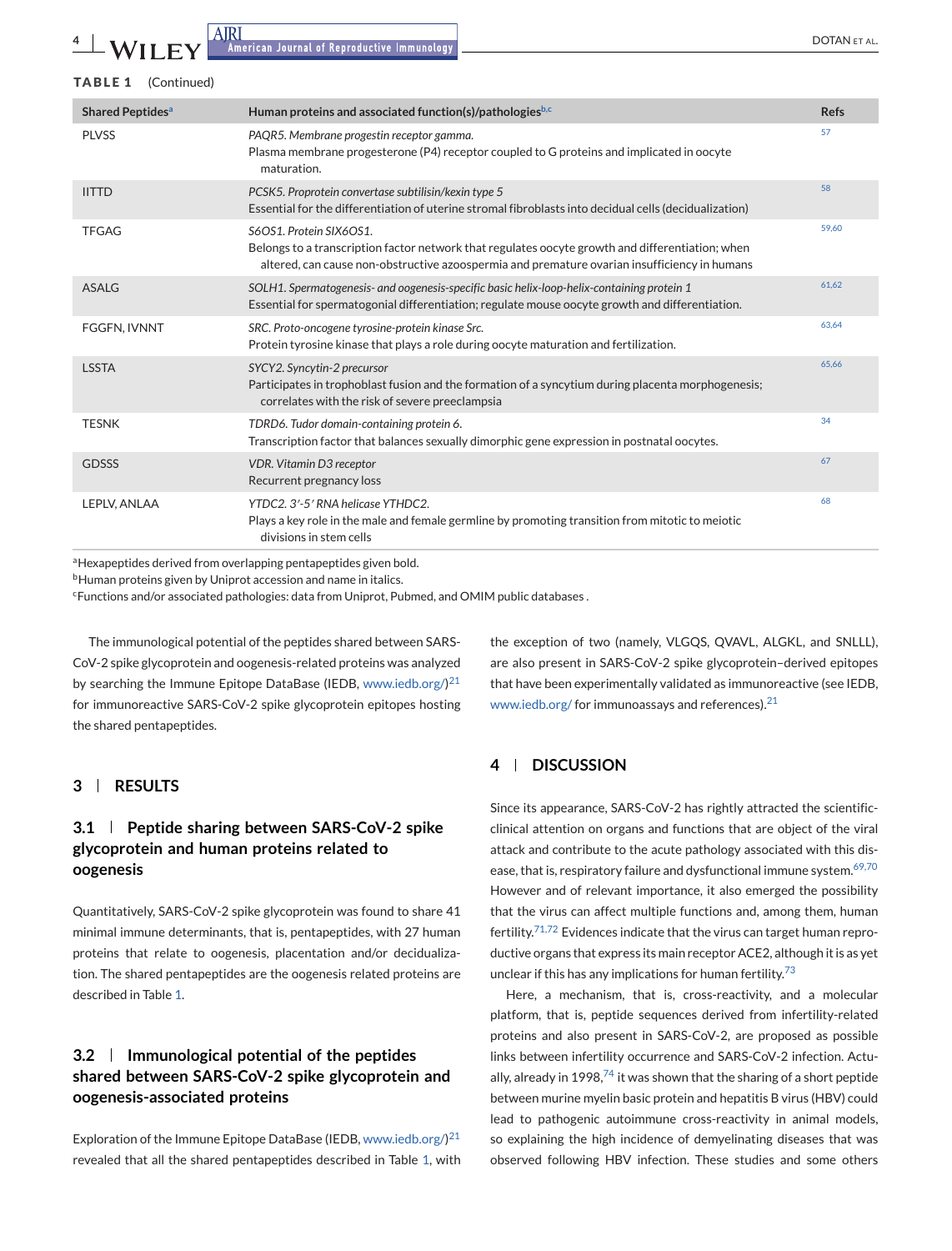<span id="page-3-0"></span>

| <b>TABLE 1</b><br>(Continued)      |                                                                                                                                                                                                                             |             |
|------------------------------------|-----------------------------------------------------------------------------------------------------------------------------------------------------------------------------------------------------------------------------|-------------|
| <b>Shared Peptides<sup>a</sup></b> | Human proteins and associated function(s)/pathologiesb,c                                                                                                                                                                    | <b>Refs</b> |
| <b>PLVSS</b>                       | PAQR5. Membrane progestin receptor gamma.<br>Plasma membrane progesterone (P4) receptor coupled to G proteins and implicated in oocyte<br>maturation.                                                                       | 57          |
| <b>IITTD</b>                       | PCSK5. Proprotein convertase subtilisin/kexin type 5<br>Essential for the differentiation of uterine stromal fibroblasts into decidual cells (decidualization)                                                              | 58          |
| <b>TFGAG</b>                       | S6OS1. Protein SIX6OS1.<br>Belongs to a transcription factor network that regulates oocyte growth and differentiation; when<br>altered, can cause non-obstructive azoospermia and premature ovarian insufficiency in humans | 59.60       |
| <b>ASALG</b>                       | SOLH1. Spermatogenesis- and oogenesis-specific basic helix-loop-helix-containing protein 1<br>Essential for spermatogonial differentiation; regulate mouse oocyte growth and differentiation.                               | 61.62       |
| FGGFN, IVNNT                       | SRC. Proto-oncogene tyrosine-protein kinase Src.<br>Protein tyrosine kinase that plays a role during oocyte maturation and fertilization.                                                                                   | 63,64       |
| <b>LSSTA</b>                       | SYCY2. Syncytin-2 precursor<br>Participates in trophoblast fusion and the formation of a syncytium during placenta morphogenesis;<br>correlates with the risk of severe preeclampsia                                        | 65.66       |
| <b>TESNK</b>                       | TDRD6. Tudor domain-containing protein 6.<br>Transcription factor that balances sexually dimorphic gene expression in postnatal oocytes.                                                                                    | 34          |
| <b>GDSSS</b>                       | <b>VDR. Vitamin D3 receptor</b><br>Recurrent pregnancy loss                                                                                                                                                                 | 67          |
| LEPLV, ANLAA                       | YTDC2, 3'-5' RNA helicase YTHDC2.<br>Plays a key role in the male and female germline by promoting transition from mitotic to meiotic<br>divisions in stem cells                                                            | 68          |

aHexapeptides derived from overlapping pentapeptides given bold.

<sup>b</sup>Human proteins given by Uniprot accession and name in italics.

<sup>c</sup>Functions and/or associated pathologies: data from Uniprot, Pubmed, and OMIM public databases.

The immunological potential of the peptides shared between SARS-CoV-2 spike glycoprotein and oogenesis-related proteins was analyzed by searching the Immune Epitope DataBase (IEDB, [www.iedb.org/\)](http://www.iedb.org/) $^{21}$  $^{21}$  $^{21}$ for immunoreactive SARS-CoV-2 spike glycoprotein epitopes hosting the shared pentapeptides.

# **3 RESULTS**

# **3.1 Peptide sharing between SARS-CoV-2 spike glycoprotein and human proteins related to oogenesis**

Quantitatively, SARS-CoV-2 spike glycoprotein was found to share 41 minimal immune determinants, that is, pentapeptides, with 27 human proteins that relate to oogenesis, placentation and/or decidualization. The shared pentapeptides are the oogenesis related proteins are described in Table [1.](#page-2-0)

# **3.2 Immunological potential of the peptides shared between SARS-CoV-2 spike glycoprotein and oogenesis-associated proteins**

Exploration of the Immune Epitope DataBase (IEDB, [www.iedb.org/\)](http://www.iedb.org/) $^{21}$  $^{21}$  $^{21}$ revealed that all the shared pentapeptides described in Table [1,](#page-2-0) with

the exception of two (namely, VLGQS, QVAVL, ALGKL, and SNLLL), are also present in SARS-CoV-2 spike glycoprotein–derived epitopes that have been experimentally validated as immunoreactive (see IEDB, [www.iedb.org/](http://www.iedb.org/) for immunoassays and references).<sup>[21](#page-5-0)</sup>

# **4 DISCUSSION**

Since its appearance, SARS-CoV-2 has rightly attracted the scientificclinical attention on organs and functions that are object of the viral attack and contribute to the acute pathology associated with this dis-ease, that is, respiratory failure and dysfunctional immune system.<sup>[69,70](#page-7-0)</sup> However and of relevant importance, it also emerged the possibility that the virus can affect multiple functions and, among them, human fertility.[71,72](#page-7-0) Evidences indicate that the virus can target human reproductive organs that express its main receptor ACE2, although it is as yet unclear if this has any implications for human fertility. $73$ 

Here, a mechanism, that is, cross-reactivity, and a molecular platform, that is, peptide sequences derived from infertility-related proteins and also present in SARS-CoV-2, are proposed as possible links between infertility occurrence and SARS-CoV-2 infection. Actually, already in 1998, $74$  it was shown that the sharing of a short peptide between murine myelin basic protein and hepatitis B virus (HBV) could lead to pathogenic autoimmune cross-reactivity in animal models, so explaining the high incidence of demyelinating diseases that was observed following HBV infection. These studies and some others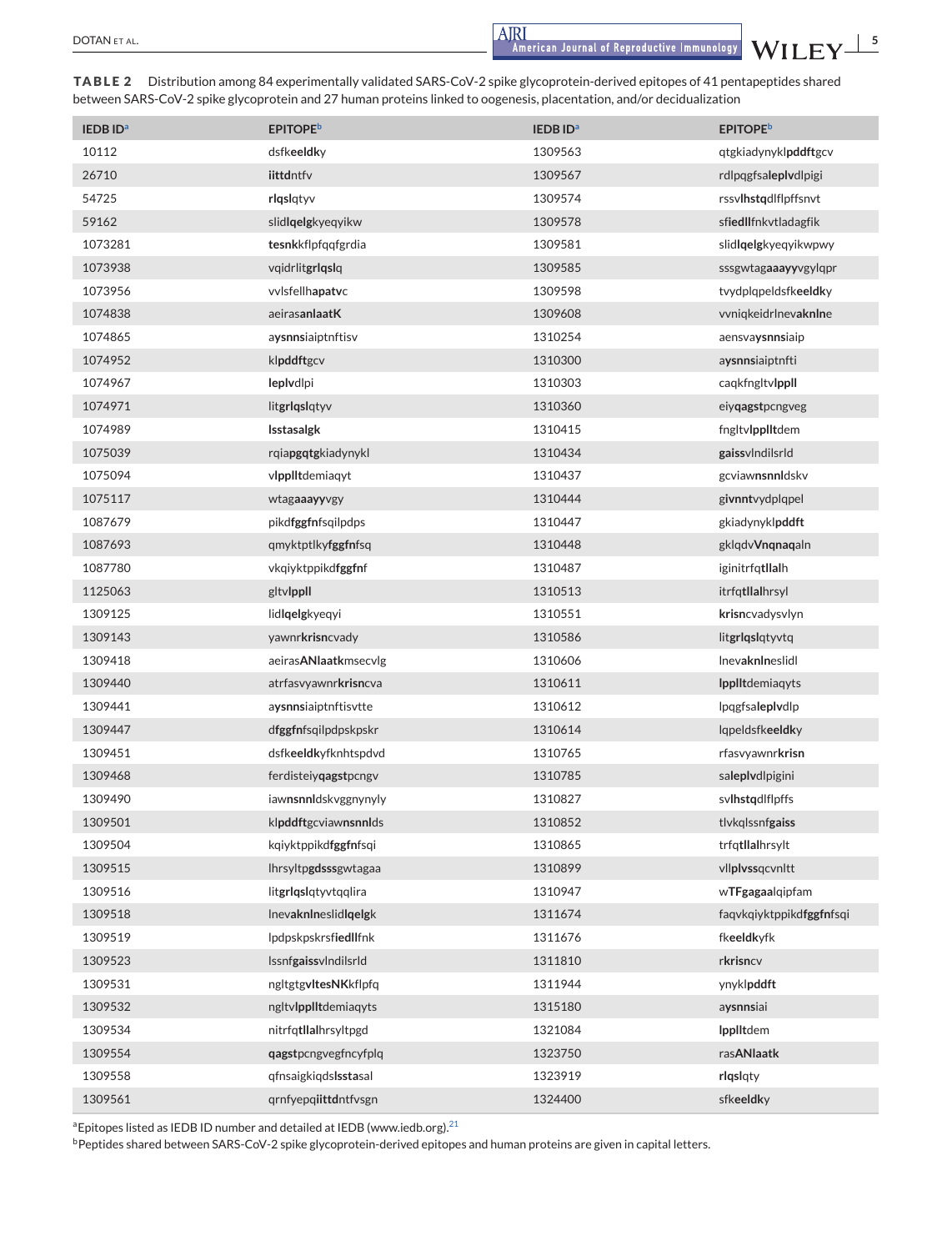<span id="page-4-0"></span>DOTAN ET AL. **SEXUAL EXECUTE ASSESS** 

| <b>IEDBID</b> <sup>a</sup> | <b>EPITOPE</b> <sup>b</sup> | <b>IEDBID</b> <sup>a</sup> | <b>EPITOPE</b> <sup>b</sup> |
|----------------------------|-----------------------------|----------------------------|-----------------------------|
| 10112                      | dsfkeeldky                  | 1309563                    | qtgkiadynyklpddftgcv        |
| 26710                      | iittdntfv                   | 1309567                    | rdlpqgfsaleplydlpigi        |
| 54725                      | rlqslqtyv                   | 1309574                    | rssvlhstqdlflpffsnvt        |
| 59162                      | slidlqelgkyeqyikw           | 1309578                    | sfiedllfnkvtladagfik        |
| 1073281                    | tesnkkflpfqqfgrdia          | 1309581                    | slidlgelgkyeqyikwpwy        |
| 1073938                    | vqidrlitgrlqslq             | 1309585                    | sssgwtagaaayyvgylqpr        |
| 1073956                    | vvlsfellhapatvc             | 1309598                    | tvydplqpeldsfkeeldky        |
| 1074838                    | aeirasanlaatK               | 1309608                    | vvniqkeidrlnevaknine        |
| 1074865                    | aysnnsiaiptnftisv           | 1310254                    | aensvaysnnsiaip             |
| 1074952                    | klpddftgcv                  | 1310300                    | aysnnsiaiptnfti             |
| 1074967                    | leplydlpi                   | 1310303                    | caqkfngltvlppll             |
| 1074971                    | litgrlqslqtyv               | 1310360                    | eiyqagstpcngveg             |
| 1074989                    | Isstasalgk                  | 1310415                    | fngltvlpplitdem             |
| 1075039                    | rgiapgqtgkiadynykl          | 1310434                    | gaissylndilsrld             |
| 1075094                    | vlpplitdemiagyt             | 1310437                    | gcviawnsnnldskv             |
| 1075117                    | wtagaaayyvgy                | 1310444                    | givnntvydplqpel             |
| 1087679                    | pikdfggfnfsqilpdps          | 1310447                    | gkiadynyklpddft             |
| 1087693                    | qmyktptlkyfggfnfsq          | 1310448                    | gklqdvVnqnaqaln             |
| 1087780                    | vkqiyktppikd <b>fggfn</b> f | 1310487                    | iginitrfqtllalh             |
| 1125063                    | gltvlppll                   | 1310513                    | itrfqtllalhrsyl             |
| 1309125                    | lidlqelgkyeqyi              | 1310551                    | krisncvadysvlyn             |
| 1309143                    | yawnrkrisncvady             | 1310586                    | litgrlqslqtyvtq             |
| 1309418                    | aeirasANlaatkmsecvlg        | 1310606                    | InevaknIneslidl             |
| 1309440                    | atrfasvyawnrkrisncva        | 1310611                    | <b>Ipplitdemiagyts</b>      |
| 1309441                    | aysnnsiaiptnftisvtte        | 1310612                    | lpqgfsaleplydlp             |
| 1309447                    | dfggfnfsqilpdpskpskr        | 1310614                    | lqpeldsfkeeldky             |
| 1309451                    | dsfkeeldkyfknhtspdvd        | 1310765                    | rfasvyawnrkrisn             |
| 1309468                    | ferdisteiyqagstpcngv        | 1310785                    | saleplydlpigini             |
| 1309490                    | iawnsnnldskvggnynyly        | 1310827                    | svlhstqdlflpffs             |
| 1309501                    | klpddftgcviawnsnnlds        | 1310852                    | tlykglssnfgaiss             |
| 1309504                    | kqiyktppikdfggfnfsqi        | 1310865                    | trfqtllalhrsylt             |
| 1309515                    | Ihrsyltpgdsssgwtagaa        | 1310899                    | vllplvssqcvnltt             |
| 1309516                    | litgrlqslqtyvtqqlira        | 1310947                    | wTFgagaalqipfam             |
| 1309518                    | <b>Inevaknineslidigelgk</b> | 1311674                    | faqvkqiyktppikdfggfnfsqi    |
| 1309519                    | lpdpskpskrsfiedllfnk        | 1311676                    | fkeeldkyfk                  |
| 1309523                    | IssnfgaissvIndilsrId        | 1311810                    | rkrisncv                    |
| 1309531                    | ngltgtgvltesNKkflpfg        | 1311944                    | ynyklpddft                  |
| 1309532                    | ngltvlpplitdemiagyts        | 1315180                    | aysnnsiai                   |
| 1309534                    | nitrfqtllalhrsyltpgd        | 1321084                    | IpplItdem                   |
| 1309554                    | qagstpcngvegfncyfplq        | 1323750                    | rasANlaatk                  |
| 1309558                    | qfnsaigkiqdslsstasal        | 1323919                    | rlqslqty                    |
| 1309561                    | qrnfyepqiittdntfvsgn        | 1324400                    | sfkeeldky                   |

**TABLE 2** Distribution among 84 experimentally validated SARS-CoV-2 spike glycoprotein-derived epitopes of 41 pentapeptides shared between SARS-CoV-2 spike glycoprotein and 27 human proteins linked to oogenesis, placentation, and/or decidualization

<sup>a</sup>Epitopes listed as IEDB ID number and detailed at IEDB (www.iedb.org).<sup>21</sup>

bPeptides shared between SARS-CoV-2 spike glycoprotein-derived epitopes and human proteins are given in capital letters.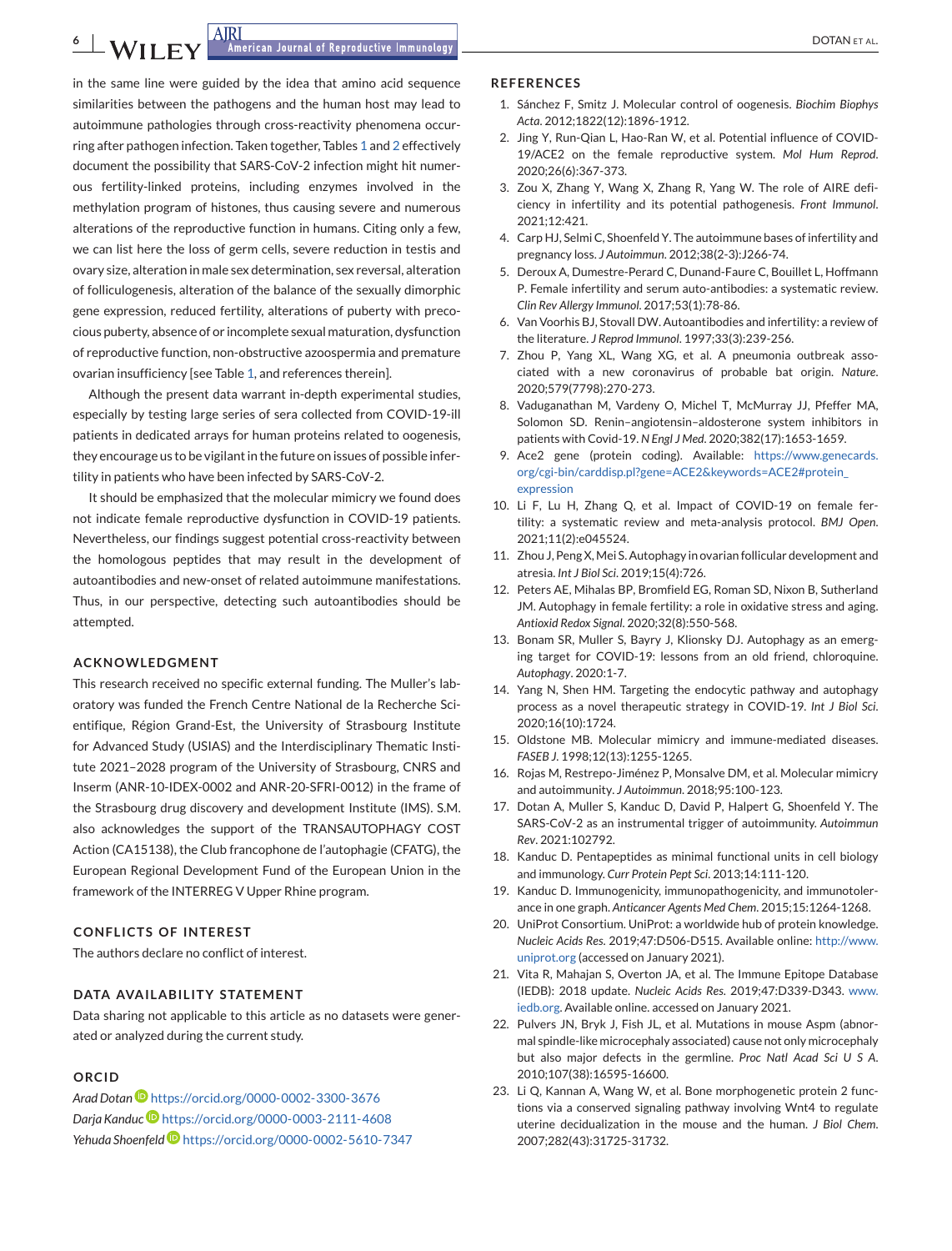<span id="page-5-0"></span>in the same line were guided by the idea that amino acid sequence similarities between the pathogens and the human host may lead to autoimmune pathologies through cross-reactivity phenomena occurring after pathogen infection. Taken together, Tables [1](#page-2-0) and [2](#page-4-0) effectively document the possibility that SARS-CoV-2 infection might hit numerous fertility-linked proteins, including enzymes involved in the methylation program of histones, thus causing severe and numerous alterations of the reproductive function in humans. Citing only a few, we can list here the loss of germ cells, severe reduction in testis and ovary size, alteration in male sex determination, sex reversal, alteration of folliculogenesis, alteration of the balance of the sexually dimorphic gene expression, reduced fertility, alterations of puberty with precocious puberty, absence of or incomplete sexual maturation, dysfunction of reproductive function, non-obstructive azoospermia and premature ovarian insufficiency [see Table [1,](#page-2-0) and references therein].

Although the present data warrant in-depth experimental studies, especially by testing large series of sera collected from COVID-19-ill patients in dedicated arrays for human proteins related to oogenesis, they encourage us to be vigilant in the future on issues of possible infertility in patients who have been infected by SARS-CoV-2.

It should be emphasized that the molecular mimicry we found does not indicate female reproductive dysfunction in COVID-19 patients. Nevertheless, our findings suggest potential cross-reactivity between the homologous peptides that may result in the development of autoantibodies and new-onset of related autoimmune manifestations. Thus, in our perspective, detecting such autoantibodies should be attempted.

### **ACKNOWLEDGMENT**

This research received no specific external funding. The Muller's laboratory was funded the French Centre National de la Recherche Scientifique, Région Grand-Est, the University of Strasbourg Institute for Advanced Study (USIAS) and the Interdisciplinary Thematic Institute 2021–2028 program of the University of Strasbourg, CNRS and Inserm (ANR-10-IDEX-0002 and ANR-20-SFRI-0012) in the frame of the Strasbourg drug discovery and development Institute (IMS). S.M. also acknowledges the support of the TRANSAUTOPHAGY COST Action (CA15138), the Club francophone de l'autophagie (CFATG), the European Regional Development Fund of the European Union in the framework of the INTERREG V Upper Rhine program.

### **CONFLICTS OF INTEREST**

The authors declare no conflict of interest.

### **DATA AVAILABILITY STATEMENT**

Data sharing not applicable to this article as no datasets were generated or analyzed during the current study.

## **ORCID**

*Arad Dotan* <https://orcid.org/0000-0002-3300-3676> *Darja Kandu[c](https://orcid.org/0000-0003-2111-4608)* <https://orcid.org/0000-0003-2111-4608> *Yehuda Shoenfel[d](https://orcid.org/0000-0002-5610-7347)* <https://orcid.org/0000-0002-5610-7347>

#### **REFERENCES**

- 1. Sánchez F, Smitz J. Molecular control of oogenesis. *Biochim Biophys Acta*. 2012;1822(12):1896-1912.
- 2. Jing Y, Run-Qian L, Hao-Ran W, et al. Potential influence of COVID-19/ACE2 on the female reproductive system. *Mol Hum Reprod*. 2020;26(6):367-373.
- 3. Zou X, Zhang Y, Wang X, Zhang R, Yang W. The role of AIRE deficiency in infertility and its potential pathogenesis. *Front Immunol*. 2021;12:421.
- 4. Carp HJ, Selmi C, Shoenfeld Y. The autoimmune bases of infertility and pregnancy loss. *J Autoimmun*. 2012;38(2-3):J266-74.
- 5. Deroux A, Dumestre-Perard C, Dunand-Faure C, Bouillet L, Hoffmann P. Female infertility and serum auto-antibodies: a systematic review. *Clin Rev Allergy Immunol*. 2017;53(1):78-86.
- 6. Van Voorhis BJ, Stovall DW. Autoantibodies and infertility: a review of the literature. *J Reprod Immunol*. 1997;33(3):239-256.
- 7. Zhou P, Yang XL, Wang XG, et al. A pneumonia outbreak associated with a new coronavirus of probable bat origin. *Nature*. 2020;579(7798):270-273.
- 8. Vaduganathan M, Vardeny O, Michel T, McMurray JJ, Pfeffer MA, Solomon SD. Renin–angiotensin–aldosterone system inhibitors in patients with Covid-19. *N Engl J Med*. 2020;382(17):1653-1659.
- 9. Ace2 gene (protein coding). Available: [https://www.genecards.](https://www.genecards.org/cgi-bin/carddisp.pl?gene=ACE2&keywords=ACE2#protein_expression) [org/cgi-bin/carddisp.pl?gene=ACE2&keywords=ACE2#protein\\_](https://www.genecards.org/cgi-bin/carddisp.pl?gene=ACE2&keywords=ACE2#protein_expression) [expression](https://www.genecards.org/cgi-bin/carddisp.pl?gene=ACE2&keywords=ACE2#protein_expression)
- 10. Li F, Lu H, Zhang Q, et al. Impact of COVID-19 on female fertility: a systematic review and meta-analysis protocol. *BMJ Open*. 2021;11(2):e045524.
- 11. Zhou J, Peng X, Mei S. Autophagy in ovarian follicular development and atresia. *Int J Biol Sci*. 2019;15(4):726.
- 12. Peters AE, Mihalas BP, Bromfield EG, Roman SD, Nixon B, Sutherland JM. Autophagy in female fertility: a role in oxidative stress and aging. *Antioxid Redox Signal*. 2020;32(8):550-568.
- 13. Bonam SR, Muller S, Bayry J, Klionsky DJ. Autophagy as an emerging target for COVID-19: lessons from an old friend, chloroquine. *Autophagy*. 2020:1-7.
- 14. Yang N, Shen HM. Targeting the endocytic pathway and autophagy process as a novel therapeutic strategy in COVID-19. *Int J Biol Sci*. 2020;16(10):1724.
- 15. Oldstone MB. Molecular mimicry and immune-mediated diseases. *FASEB J*. 1998;12(13):1255-1265.
- 16. Rojas M, Restrepo-Jiménez P, Monsalve DM, et al. Molecular mimicry and autoimmunity. *J Autoimmun*. 2018;95:100-123.
- 17. Dotan A, Muller S, Kanduc D, David P, Halpert G, Shoenfeld Y. The SARS-CoV-2 as an instrumental trigger of autoimmunity. *Autoimmun Rev*. 2021:102792.
- 18. Kanduc D. Pentapeptides as minimal functional units in cell biology and immunology. *Curr Protein Pept Sci*. 2013;14:111-120.
- 19. Kanduc D. Immunogenicity, immunopathogenicity, and immunotolerance in one graph. *Anticancer Agents Med Chem*. 2015;15:1264-1268.
- 20. UniProt Consortium. UniProt: a worldwide hub of protein knowledge. *Nucleic Acids Res*. 2019;47:D506-D515. Available online: [http://www.](http://www.uniprot.org) [uniprot.org](http://www.uniprot.org) (accessed on January 2021).
- 21. Vita R, Mahajan S, Overton JA, et al. The Immune Epitope Database (IEDB): 2018 update. *Nucleic Acids Res*. 2019;47:D339-D343. [www.](http://www.iedb.org) [iedb.org.](http://www.iedb.org) Available online. accessed on January 2021.
- 22. Pulvers JN, Bryk J, Fish JL, et al. Mutations in mouse Aspm (abnormal spindle-like microcephaly associated) cause not only microcephaly but also major defects in the germline. *Proc Natl Acad Sci U S A*. 2010;107(38):16595-16600.
- 23. Li Q, Kannan A, Wang W, et al. Bone morphogenetic protein 2 functions via a conserved signaling pathway involving Wnt4 to regulate uterine decidualization in the mouse and the human. *J Biol Chem*. 2007;282(43):31725-31732.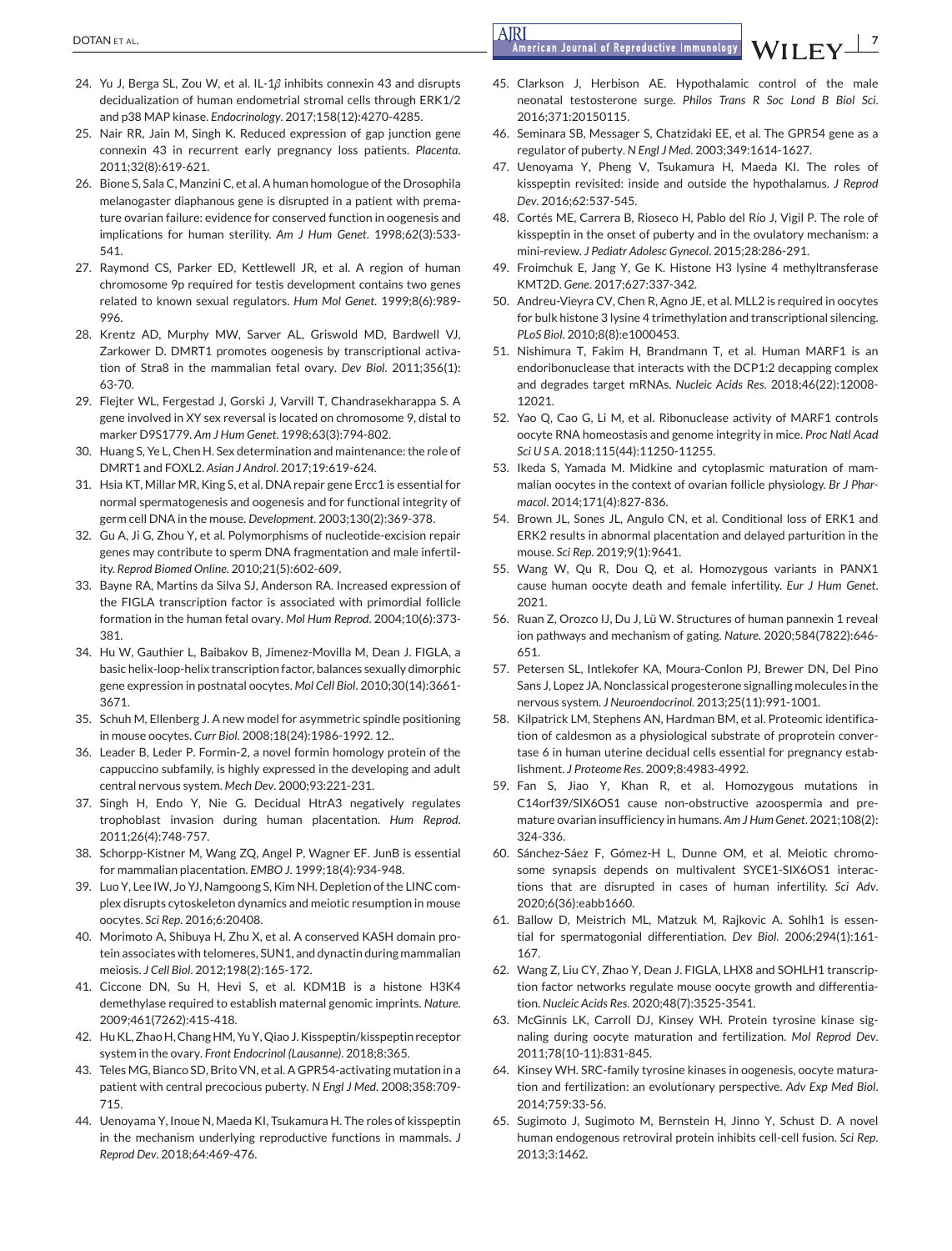- 24. Yu J, Berga SL, Zou W, et al. IL-1*β* inhibits connexin 43 and disrupts decidualization of human endometrial stromal cells through ERK1/2 and p38 MAP kinase. *Endocrinology*. 2017;158(12):4270-4285.
- 25. Nair RR, Jain M, Singh K. Reduced expression of gap junction gene connexin 43 in recurrent early pregnancy loss patients. *Placenta*. 2011;32(8):619-621.
- 26. Bione S, Sala C, Manzini C, et al. A human homologue of the Drosophila melanogaster diaphanous gene is disrupted in a patient with premature ovarian failure: evidence for conserved function in oogenesis and implications for human sterility. *Am J Hum Genet*. 1998;62(3):533- 541.
- 27. Raymond CS, Parker ED, Kettlewell JR, et al. A region of human chromosome 9p required for testis development contains two genes related to known sexual regulators. *Hum Mol Genet*. 1999;8(6):989- 996.
- 28. Krentz AD, Murphy MW, Sarver AL, Griswold MD, Bardwell VJ, Zarkower D. DMRT1 promotes oogenesis by transcriptional activation of Stra8 in the mammalian fetal ovary. *Dev Biol*. 2011;356(1): 63-70.
- 29. Flejter WL, Fergestad J, Gorski J, Varvill T, Chandrasekharappa S. A gene involved in XY sex reversal is located on chromosome 9, distal to marker D9S1779. *Am J Hum Genet*. 1998;63(3):794-802.
- 30. Huang S, Ye L, Chen H. Sex determination and maintenance: the role of DMRT1 and FOXL2. *Asian J Androl*. 2017;19:619-624.
- 31. Hsia KT, Millar MR, King S, et al. DNA repair gene Ercc1 is essential for normal spermatogenesis and oogenesis and for functional integrity of germ cell DNA in the mouse. *Development*. 2003;130(2):369-378.
- 32. Gu A, Ji G, Zhou Y, et al. Polymorphisms of nucleotide-excision repair genes may contribute to sperm DNA fragmentation and male infertility. *Reprod Biomed Online*. 2010;21(5):602-609.
- 33. Bayne RA, Martins da Silva SJ, Anderson RA. Increased expression of the FIGLA transcription factor is associated with primordial follicle formation in the human fetal ovary. *Mol Hum Reprod*. 2004;10(6):373- 381.
- 34. Hu W, Gauthier L, Baibakov B, Jimenez-Movilla M, Dean J. FIGLA, a basic helix-loop-helix transcription factor, balances sexually dimorphic gene expression in postnatal oocytes. *Mol Cell Biol*. 2010;30(14):3661- 3671.
- 35. Schuh M, Ellenberg J. A new model for asymmetric spindle positioning in mouse oocytes. *Curr Biol*. 2008;18(24):1986-1992. 12..
- 36. Leader B, Leder P. Formin-2, a novel formin homology protein of the cappuccino subfamily, is highly expressed in the developing and adult central nervous system. *Mech Dev*. 2000;93:221-231.
- 37. Singh H, Endo Y, Nie G. Decidual HtrA3 negatively regulates trophoblast invasion during human placentation. *Hum Reprod*. 2011;26(4):748-757.
- 38. Schorpp-Kistner M, Wang ZQ, Angel P, Wagner EF. JunB is essential for mammalian placentation. *EMBO J*. 1999;18(4):934-948.
- 39. Luo Y, Lee IW, Jo YJ, Namgoong S, Kim NH. Depletion of the LINC complex disrupts cytoskeleton dynamics and meiotic resumption in mouse oocytes. *Sci Rep*. 2016;6:20408.
- 40. Morimoto A, Shibuya H, Zhu X, et al. A conserved KASH domain protein associates with telomeres, SUN1, and dynactin during mammalian meiosis. *J Cell Biol*. 2012;198(2):165-172.
- 41. Ciccone DN, Su H, Hevi S, et al. KDM1B is a histone H3K4 demethylase required to establish maternal genomic imprints. *Nature*. 2009;461(7262):415-418.
- 42. Hu KL, Zhao H, Chang HM, Yu Y, Qiao J. Kisspeptin/kisspeptin receptor system in the ovary. *Front Endocrinol (Lausanne)*. 2018;8:365.
- 43. Teles MG, Bianco SD, Brito VN, et al. A GPR54-activating mutation in a patient with central precocious puberty. *N Engl J Med*. 2008;358:709- 715.
- 44. Uenoyama Y, Inoue N, Maeda KI, Tsukamura H. The roles of kisspeptin in the mechanism underlying reproductive functions in mammals. *J Reprod Dev*. 2018;64:469-476.

# <span id="page-6-0"></span>DOTAN ET AL. **7**

- 45. Clarkson J, Herbison AE. Hypothalamic control of the male neonatal testosterone surge. *Philos Trans R Soc Lond B Biol Sci*. 2016;371:20150115.
- 46. Seminara SB, Messager S, Chatzidaki EE, et al. The GPR54 gene as a regulator of puberty. *N Engl J Med*. 2003;349:1614-1627.
- 47. Uenoyama Y, Pheng V, Tsukamura H, Maeda KI. The roles of kisspeptin revisited: inside and outside the hypothalamus. *J Reprod Dev*. 2016;62:537-545.
- 48. Cortés ME, Carrera B, Rioseco H, Pablo del Río J, Vigil P. The role of kisspeptin in the onset of puberty and in the ovulatory mechanism: a mini-review. *J Pediatr Adolesc Gynecol*. 2015;28:286-291.
- 49. Froimchuk E, Jang Y, Ge K. Histone H3 lysine 4 methyltransferase KMT2D. *Gene*. 2017;627:337-342.
- 50. Andreu-Vieyra CV, Chen R, Agno JE, et al. MLL2 is required in oocytes for bulk histone 3 lysine 4 trimethylation and transcriptional silencing. *PLoS Biol*. 2010;8(8):e1000453.
- 51. Nishimura T, Fakim H, Brandmann T, et al. Human MARF1 is an endoribonuclease that interacts with the DCP1:2 decapping complex and degrades target mRNAs. *Nucleic Acids Res*. 2018;46(22):12008- 12021.
- 52. Yao Q, Cao G, Li M, et al. Ribonuclease activity of MARF1 controls oocyte RNA homeostasis and genome integrity in mice. *Proc Natl Acad Sci U S A*. 2018;115(44):11250-11255.
- 53. Ikeda S, Yamada M. Midkine and cytoplasmic maturation of mammalian oocytes in the context of ovarian follicle physiology. *Br J Pharmacol*. 2014;171(4):827-836.
- 54. Brown JL, Sones JL, Angulo CN, et al. Conditional loss of ERK1 and ERK2 results in abnormal placentation and delayed parturition in the mouse. *Sci Rep*. 2019;9(1):9641.
- 55. Wang W, Qu R, Dou Q, et al. Homozygous variants in PANX1 cause human oocyte death and female infertility. *Eur J Hum Genet*. 2021.
- 56. Ruan Z, Orozco IJ, Du J, Lü W. Structures of human pannexin 1 reveal ion pathways and mechanism of gating. *Nature*. 2020;584(7822):646- 651.
- 57. Petersen SL, Intlekofer KA, Moura-Conlon PJ, Brewer DN, Del Pino Sans J, Lopez JA. Nonclassical progesterone signalling molecules in the nervous system. *J Neuroendocrinol*. 2013;25(11):991-1001.
- 58. Kilpatrick LM, Stephens AN, Hardman BM, et al. Proteomic identification of caldesmon as a physiological substrate of proprotein convertase 6 in human uterine decidual cells essential for pregnancy establishment. *J Proteome Res*. 2009;8:4983-4992.
- 59. Fan S, Jiao Y, Khan R, et al. Homozygous mutations in C14orf39/SIX6OS1 cause non-obstructive azoospermia and premature ovarian insufficiency in humans. *Am J Hum Genet*. 2021;108(2): 324-336.
- 60. Sánchez-Sáez F, Gómez-H L, Dunne OM, et al. Meiotic chromosome synapsis depends on multivalent SYCE1-SIX6OS1 interactions that are disrupted in cases of human infertility. *Sci Adv*. 2020;6(36):eabb1660.
- 61. Ballow D, Meistrich ML, Matzuk M, Rajkovic A. Sohlh1 is essential for spermatogonial differentiation. *Dev Biol*. 2006;294(1):161- 167.
- 62. Wang Z, Liu CY, Zhao Y, Dean J. FIGLA, LHX8 and SOHLH1 transcription factor networks regulate mouse oocyte growth and differentiation. *Nucleic Acids Res*. 2020;48(7):3525-3541.
- 63. McGinnis LK, Carroll DJ, Kinsey WH. Protein tyrosine kinase signaling during oocyte maturation and fertilization. *Mol Reprod Dev*. 2011;78(10-11):831-845.
- 64. Kinsey WH. SRC-family tyrosine kinases in oogenesis, oocyte maturation and fertilization: an evolutionary perspective. *Adv Exp Med Biol*. 2014;759:33-56.
- 65. Sugimoto J, Sugimoto M, Bernstein H, Jinno Y, Schust D. A novel human endogenous retroviral protein inhibits cell-cell fusion. *Sci Rep*. 2013;3:1462.